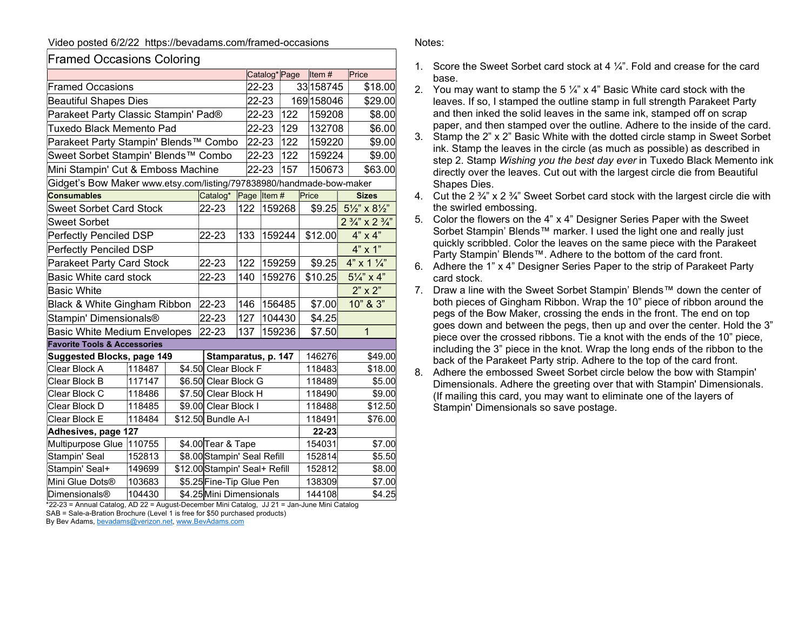## Video posted 6/2/22 https://bevadams.com/framed-occasions

| <b>Framed Occasions Coloring</b>                                     |        |  |                               |                          |               |             |            |         |         |                         |                                     |  |
|----------------------------------------------------------------------|--------|--|-------------------------------|--------------------------|---------------|-------------|------------|---------|---------|-------------------------|-------------------------------------|--|
|                                                                      |        |  |                               |                          | Catalog*Page  |             |            |         | Item#   | Price                   |                                     |  |
| <b>Framed Occasions</b>                                              |        |  |                               | 22-23                    |               |             | 33 158745  |         | \$18.00 |                         |                                     |  |
| <b>Beautiful Shapes Dies</b>                                         |        |  |                               | 22-23                    |               |             | 169 158046 |         | \$29.00 |                         |                                     |  |
| Parakeet Party Classic Stampin' Pad®                                 |        |  |                               | 22-23                    | 122           |             | 159208     |         | \$8.00  |                         |                                     |  |
| Tuxedo Black Memento Pad                                             |        |  | 22-23                         |                          | 129           |             | 132708     |         | \$6.00  |                         |                                     |  |
| Parakeet Party Stampin' Blends™ Combo                                |        |  |                               | 22-23                    | 122           |             | 159220     |         | \$9.00  |                         |                                     |  |
| Sweet Sorbet Stampin' Blends™ Combo                                  |        |  | 22-23                         |                          | 122           |             | 159224     |         | \$9.00  |                         |                                     |  |
| Mini Stampin' Cut & Emboss Machine                                   |        |  | 22-23                         |                          | 157           | 150673      |            | \$63.00 |         |                         |                                     |  |
| Gidget's Bow Maker www.etsy.com/listing/797838980/handmade-bow-maker |        |  |                               |                          |               |             |            |         |         |                         |                                     |  |
| <b>Consumables</b>                                                   |        |  | Catalog*                      |                          |               | Page Item # |            | Price   |         |                         | <b>Sizes</b>                        |  |
| <b>Sweet Sorbet Card Stock</b>                                       |        |  | 22-23                         |                          | 159268<br>122 |             |            |         | \$9.25  |                         | $5\frac{1}{2}$ " x $8\frac{1}{2}$ " |  |
| Sweet Sorbet                                                         |        |  |                               |                          |               |             |            |         |         |                         | $2\frac{3}{4}$ " x $2\frac{3}{4}$ " |  |
| <b>Perfectly Penciled DSP</b>                                        |        |  | 22-23                         |                          | 133           | 159244      |            |         | \$12.00 |                         | 4" x 4"                             |  |
| Perfectly Penciled DSP                                               |        |  |                               |                          |               |             |            |         |         |                         | 4" x 1"                             |  |
| <b>Parakeet Party Card Stock</b>                                     |        |  | 22-23                         |                          | 122<br>159259 |             |            |         | \$9.25  | $4"$ x 1 $\frac{1}{4"}$ |                                     |  |
| Basic White card stock                                               |        |  | 22-23                         |                          | 159276<br>140 |             |            |         | \$10.25 | $5\frac{1}{4}$ " x 4"   |                                     |  |
| <b>Basic White</b>                                                   |        |  |                               |                          |               |             |            |         |         |                         | $2" \times 2"$                      |  |
| Black & White Gingham Ribbon                                         |        |  | 22-23                         |                          | 146           | 156485      |            |         | \$7.00  |                         | 10" & 3"                            |  |
| Stampin' Dimensionals®                                               |        |  | 22-23                         |                          | 127           | 104430      |            |         | \$4.25  |                         |                                     |  |
| <b>Basic White Medium Envelopes</b>                                  |        |  | 22-23                         |                          | 137           | 159236      |            |         | \$7.50  |                         | $\overline{1}$                      |  |
| <b>Favorite Tools &amp; Accessories</b>                              |        |  |                               |                          |               |             |            |         |         |                         |                                     |  |
| <b>Suggested Blocks, page 149</b>                                    |        |  | Stamparatus, p. 147           |                          |               |             |            |         | 146276  |                         | \$49.00                             |  |
| Clear Block A                                                        | 118487 |  |                               | \$4.50 Clear Block F     |               |             |            |         | 118483  |                         | \$18.00                             |  |
| Clear Block B                                                        | 117147 |  | \$6.50 Clear Block G          |                          |               |             |            |         | 118489  |                         | \$5.00                              |  |
| Clear Block C                                                        | 118486 |  | \$7.50 Clear Block H          |                          |               |             |            |         | 118490  |                         | \$9.00                              |  |
| Clear Block D                                                        | 118485 |  | \$9.00 Clear Block I          |                          |               |             |            |         | 118488  |                         | \$12.50                             |  |
| Clear Block E                                                        | 118484 |  | \$12.50 Bundle A-I            |                          |               |             | 118491     |         |         | \$76.00                 |                                     |  |
| Adhesives, page 127                                                  |        |  |                               |                          |               |             |            |         | 22-23   |                         |                                     |  |
| Multipurpose Glue                                                    | 110755 |  | \$4.00 Tear & Tape            |                          |               |             |            | 154031  |         | \$7.00                  |                                     |  |
| Stampin' Seal                                                        | 152813 |  | \$8.00 Stampin' Seal Refill   |                          |               |             |            |         | 152814  |                         | \$5.50                              |  |
| Stampin' Seal+                                                       | 149699 |  | \$12.00 Stampin' Seal+ Refill |                          |               |             |            |         | 152812  |                         | \$8.00                              |  |
| Mini Glue Dots <sup>®</sup>                                          | 103683 |  | \$5.25 Fine-Tip Glue Pen      |                          |               |             |            |         | 138309  |                         | \$7.00                              |  |
| <b>Dimensionals®</b>                                                 | 104430 |  |                               | \$4.25 Mini Dimensionals |               |             |            |         | 144108  |                         | \$4.25                              |  |

\*22-23 = Annual Catalog, AD 22 = August-December Mini Catalog, JJ 21 = Jan-June Mini Catalog

SAB = Sale-a-Bration Brochure (Level 1 is free for \$50 purchased products)

By Bev Adams, bevadams@verizon.net, www.BevAdams.com

## Notes:

- 1. Score the Sweet Sorbet card stock at  $4\frac{1}{4}$ . Fold and crease for the card base.
- 2. You may want to stamp the 5  $\frac{1}{4}$ " x 4" Basic White card stock with the leaves. If so, I stamped the outline stamp in full strength Parakeet Party and then inked the solid leaves in the same ink, stamped off on scrap paper, and then stamped over the outline. Adhere to the inside of the card.
- 3. Stamp the 2" x 2" Basic White with the dotted circle stamp in Sweet Sorbet ink. Stamp the leaves in the circle (as much as possible) as described in step 2. Stamp Wishing you the best day ever in Tuxedo Black Memento ink directly over the leaves. Cut out with the largest circle die from Beautiful Shapes Dies.
- 4. Cut the 2 ¾" x 2 ¾" Sweet Sorbet card stock with the largest circle die with the swirled embossing.
- 5. Color the flowers on the 4" x 4" Designer Series Paper with the Sweet Sorbet Stampin' Blends™ marker. I used the light one and really just quickly scribbled. Color the leaves on the same piece with the Parakeet Party Stampin' Blends™. Adhere to the bottom of the card front.
- 6. Adhere the 1" x 4" Designer Series Paper to the strip of Parakeet Party card stock.
- 7. Draw a line with the Sweet Sorbet Stampin' Blends™ down the center of both pieces of Gingham Ribbon. Wrap the 10" piece of ribbon around the pegs of the Bow Maker, crossing the ends in the front. The end on top goes down and between the pegs, then up and over the center. Hold the 3" piece over the crossed ribbons. Tie a knot with the ends of the 10" piece, including the 3" piece in the knot. Wrap the long ends of the ribbon to the back of the Parakeet Party strip. Adhere to the top of the card front.
- 8. Adhere the embossed Sweet Sorbet circle below the bow with Stampin' Dimensionals. Adhere the greeting over that with Stampin' Dimensionals. (If mailing this card, you may want to eliminate one of the layers of Stampin' Dimensionals so save postage.